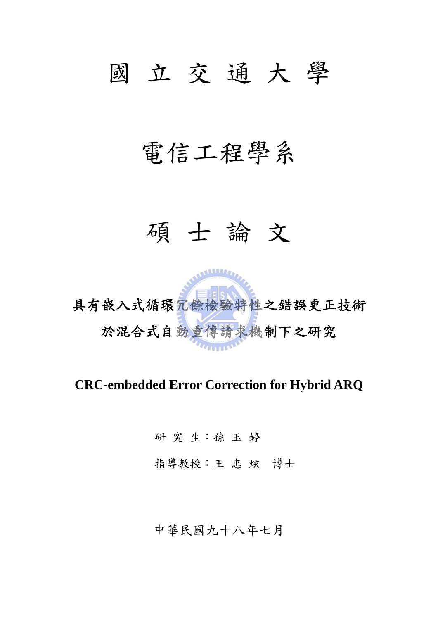## 國 立 交 通 大 學

## 電信工程學系

### 碩 士 論 文



**CRC-embedded Error Correction for Hybrid ARQ** 

研 究 生:孫 玉 婷 指導教授:王 忠 炫 博士

中華民國九十八年七月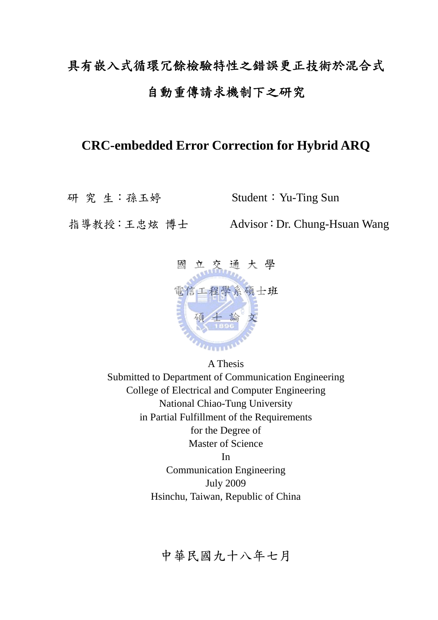### 具有嵌入式循環冗餘檢驗特性之錯誤更正技術於混合式 自動重傳請求機制下之研究

### **CRC-embedded Error Correction for Hybrid ARQ**

研 究 生:孫玉婷 Student:Yu-Ting Sun

指導教授:王忠炫 博士 Advisor:Dr. Chung-Hsuan Wang



A Thesis Submitted to Department of Communication Engineering College of Electrical and Computer Engineering National Chiao-Tung University in Partial Fulfillment of the Requirements for the Degree of Master of Science In Communication Engineering

July 2009 Hsinchu, Taiwan, Republic of China

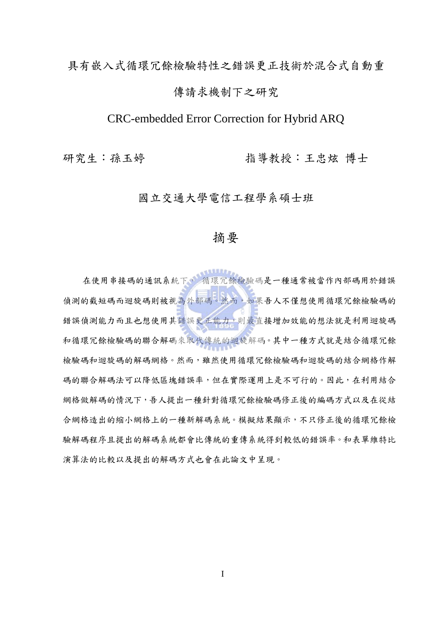#### 具有嵌入式循環冗餘檢驗特性之錯誤更正技術於混合式自動重

#### 傳請求機制下之研究

### CRC-embedded Error Correction for Hybrid ARQ

研究生:孫玉婷 有一 指導教授:王忠炫 博士

#### 國立交通大學電信工程學系碩士班

### 摘要

在使用串接碼的通訊系統下, 循環冗餘檢驗碼是一種通常被當作內部碼用於錯誤 偵測的截短碼而迴旋碼則被視為外部碼。然而,如果吾人不僅想使用循環冗餘檢驗碼的 錯誤偵測能力而且也想使用其錯誤更正能力,則最直接增加效能的想法就是利用迴旋碼 和循環冗餘檢驗碼的聯合解碼來取代傳統的迴旋解碼。其中一種方式就是結合循環冗餘 檢驗碼和迴旋碼的解碼網格。然而,雖然使用循環冗餘檢驗碼和迴旋碼的結合網格作解 碼的聯合解碼法可以降低區塊錯誤率,但在實際運用上是不可行的。因此,在利用結合 網格做解碼的情況下,吾人提出一種針對循環冗餘檢驗碼修正後的編碼方式以及在從結 合網格造出的縮小網格上的一種新解碼系統。模擬結果顯示,不只修正後的循環冗餘檢 驗解碼程序且提出的解碼系統都會比傳統的重傳系統得到較低的錯誤率。和表單維特比 演算法的比較以及提出的解碼方式也會在此論文中呈現。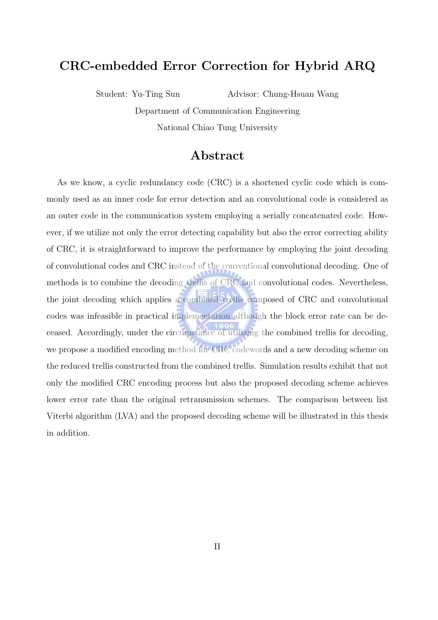### CRC-embedded Error Correction for Hybrid ARQ

Student: Yu-Ting Sun Advisor: Chung-Hsuan Wang

Department of Communication Engineering National Chiao Tung University

#### Abstract

As we know, a cyclic redundancy code (CRC) is a shortened cyclic code which is commonly used as an inner code for error detection and an convolutional code is considered as an outer code in the communication system employing a serially concatenated code. However, if we utilize not only the error detecting capability but also the error correcting ability of CRC, it is straightforward to improve the performance by employing the joint decoding of convolutional codes and CRC instead of the conventional convolutional decoding. One of methods is to combine the decoding trellis of CRC and convolutional codes. Nevertheless, the joint decoding which applies a combined trellis composed of CRC and convolutional codes was infeasible in practical implementation although the block error rate can be deceased. Accordingly, under the circumstance of utilizing the combined trellis for decoding, we propose a modified encoding method for CRC codewords and a new decoding scheme on the reduced trellis constructed from the combined trellis. Simulation results exhibit that not only the modified CRC encoding process but also the proposed decoding scheme achieves lower error rate than the original retransmission schemes. The comparison between list Viterbi algorithm (LVA) and the proposed decoding scheme will be illustrated in this thesis in addition.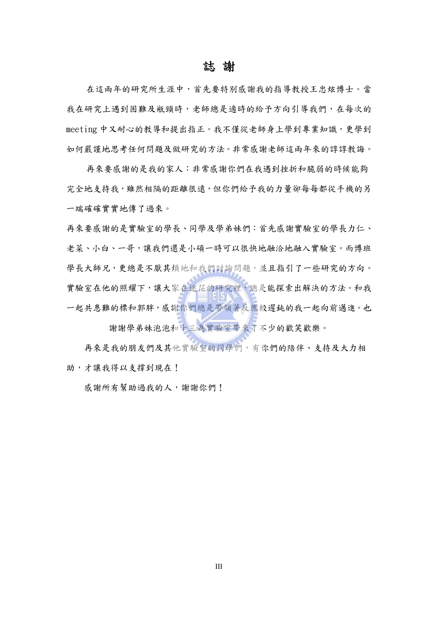#### 誌 謝

在這兩年的研究所生涯中,首先要特別感謝我的指導教授王忠炫博士。當 我在研究上遇到困難及瓶頸時,老師總是適時的給予方向引導我們,在每次的 meeting 中又耐心的教導和提出指正。我不僅從老師身上學到專業知識,更學到 如何嚴謹地思考任何問題及做研究的方法。非常感謝老師這兩年來的諄諄教誨。

再來要感謝的是我的家人:非常感謝你們在我遇到挫折和脆弱的時候能夠 完全地支持我,雖然相隔的距離很遠,但你們給予我的力量卻每每都從手機的另 一端確確實實地傳了過來。

再來要感謝的是實驗室的學長、同學及學弟妹們:首先感謝實驗室的學長力仁、 老菜、小白、一哥,讓我們還是小碩一時可以很快地融洽地融入實驗室。而博班 學長大師兄,更總是不厭其煩地和我們討論問題,並且指引了一些研究的方向。 實驗室在他的照耀下,讓大家在迷茫的研究裡,總是能探索出解決的方法。和我 一起共患難的標和郭胖,感謝你們總是帶領著反應較遲鈍的我一起向前邁進。也 謝謝學弟妹泡泡和十三為實驗室帶來了不少的歡笑歡樂。

 再來是我的朋友們及其他實驗室的同學們,有你們的陪伴、支持及大力相 助,才讓我得以支撐到現在!

感謝所有幫助過我的人,謝謝你們!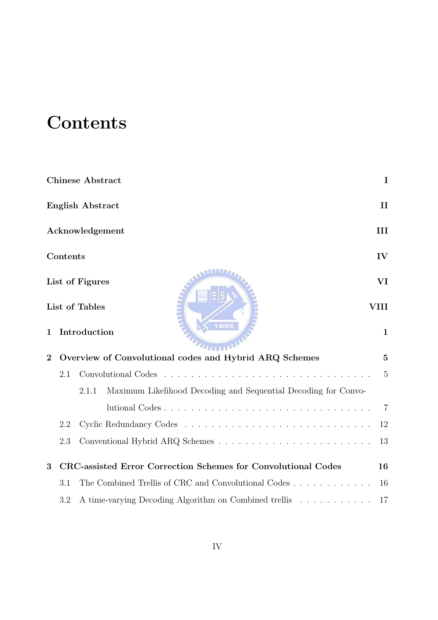### **Contents**

|                |          | <b>Chinese Abstract</b>                                                 | $\mathbf I$    |
|----------------|----------|-------------------------------------------------------------------------|----------------|
|                |          | <b>English Abstract</b>                                                 | $\mathbf{I}$   |
|                |          | Acknowledgement                                                         | III            |
|                | Contents |                                                                         | $\mathbf{IV}$  |
|                |          | List of Figures                                                         | VI             |
|                |          | List of Tables                                                          | VIII           |
| 1              |          | 1896<br>Introduction                                                    | $\mathbf{1}$   |
| $\overline{2}$ |          | Overview of Convolutional codes and Hybrid ARQ Schemes                  | $\bf{5}$       |
|                | 2.1      |                                                                         | $\overline{5}$ |
|                |          | 2.1.1<br>Maximum Likelihood Decoding and Sequential Decoding for Convo- |                |
|                |          |                                                                         | 7              |
|                | 2.2      |                                                                         | 12             |
|                | 2.3      |                                                                         | 13             |
| 3              |          | CRC-assisted Error Correction Schemes for Convolutional Codes           | 16             |
|                | 3.1      | The Combined Trellis of CRC and Convolutional Codes                     | 16             |
|                | 3.2      | A time-varying Decoding Algorithm on Combined trellis                   | 17             |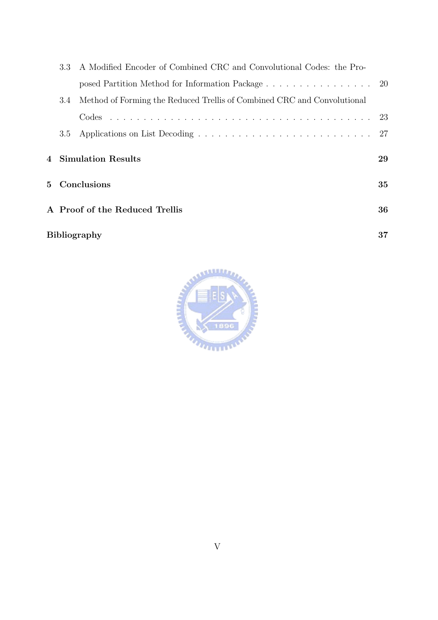|                     | 3.3                            | A Modified Encoder of Combined CRC and Convolutional Codes: the Pro-    |    |
|---------------------|--------------------------------|-------------------------------------------------------------------------|----|
|                     |                                | posed Partition Method for Information Package 20                       |    |
|                     | 3.4                            | Method of Forming the Reduced Trellis of Combined CRC and Convolutional |    |
|                     |                                | Codes                                                                   |    |
|                     | 3.5                            |                                                                         | 27 |
|                     | $\boldsymbol{\Lambda}$         | <b>Simulation Results</b>                                               | 29 |
|                     | Conclusions<br>5.              |                                                                         | 35 |
|                     | A Proof of the Reduced Trellis |                                                                         | 36 |
| <b>Bibliography</b> |                                |                                                                         | 37 |

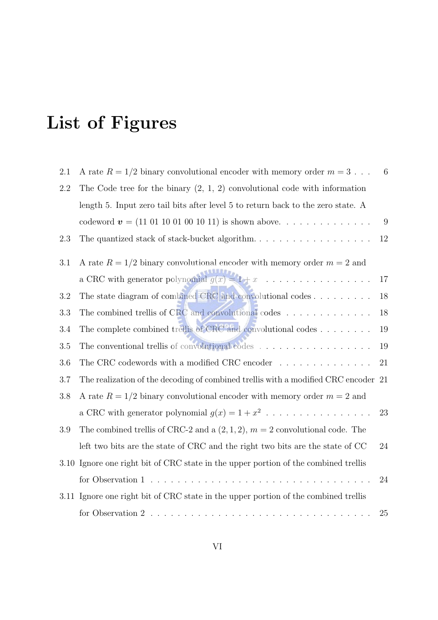## List of Figures

| 2.1 | A rate $R = 1/2$ binary convolutional encoder with memory order $m = 3$               | 6      |
|-----|---------------------------------------------------------------------------------------|--------|
| 2.2 | The Code tree for the binary $(2, 1, 2)$ convolutional code with information          |        |
|     | length 5. Input zero tail bits after level 5 to return back to the zero state. A      |        |
|     | codeword $\mathbf{v} = (11 \ 01 \ 10 \ 01 \ 00 \ 10 \ 11)$ is shown above             | 9      |
| 2.3 | The quantized stack of stack-bucket algorithm                                         | 12     |
| 3.1 | A rate $R = 1/2$ binary convolutional encoder with memory order $m = 2$ and           |        |
|     | a CRC with generator polynomial $g(x) = 1 + x$                                        | $17\,$ |
| 3.2 | The state diagram of combined CRC and convolutional codes                             | 18     |
| 3.3 | The combined trellis of CRC and convolutional codes $\dots \dots \dots \dots$         | 18     |
| 3.4 | The complete combined trellis of CRC and convolutional codes                          | 19     |
| 3.5 | The conventional trellis of convolutional codes $\dots \dots \dots \dots \dots \dots$ | 19     |
| 3.6 | The CRC codewords with a modified CRC encoder $\ldots \ldots \ldots \ldots$           | 21     |
| 3.7 | The realization of the decoding of combined trellis with a modified CRC encoder 21    |        |
| 3.8 | A rate $R = 1/2$ binary convolutional encoder with memory order $m = 2$ and           |        |
|     | a CRC with generator polynomial $g(x) = 1 + x^2$                                      | 23     |
| 3.9 | The combined trellis of CRC-2 and a $(2,1,2)$ , $m = 2$ convolutional code. The       |        |
|     | left two bits are the state of CRC and the right two bits are the state of CC         | $24\,$ |
|     | 3.10 Ignore one right bit of CRC state in the upper portion of the combined trellis   |        |
|     |                                                                                       | 24     |
|     | 3.11 Ignore one right bit of CRC state in the upper portion of the combined trellis   |        |
|     |                                                                                       | 25     |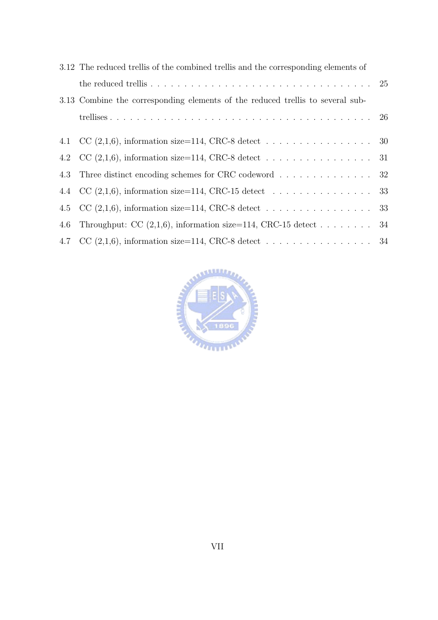|     | 3.12 The reduced trellis of the combined trellis and the corresponding elements of |  |
|-----|------------------------------------------------------------------------------------|--|
|     |                                                                                    |  |
|     | 3.13 Combine the corresponding elements of the reduced trellis to several sub-     |  |
|     |                                                                                    |  |
|     | 4.1 CC $(2,1,6)$ , information size=114, CRC-8 detect 30                           |  |
|     | 4.2 CC $(2,1,6)$ , information size=114, CRC-8 detect 31                           |  |
|     | 4.3 Three distinct encoding schemes for CRC codeword 32                            |  |
|     | 4.4 CC $(2,1,6)$ , information size=114, CRC-15 detect 33                          |  |
|     | 4.5 CC $(2,1,6)$ , information size=114, CRC-8 detect 33                           |  |
| 4.6 | Throughput: CC $(2,1,6)$ , information size=114, CRC-15 detect 34                  |  |
|     | 4.7 CC $(2,1,6)$ , information size=114, CRC-8 detect 34                           |  |

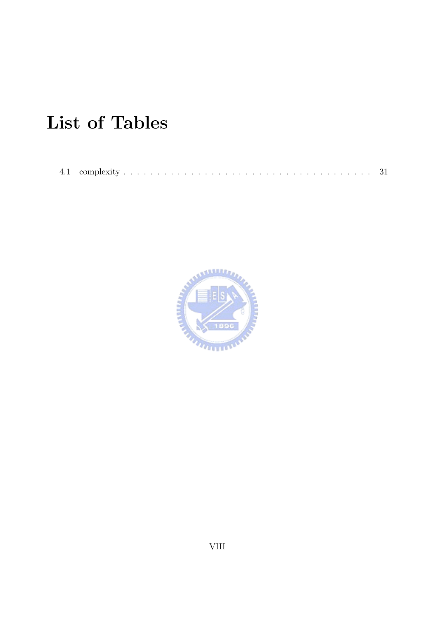## List of Tables

4.1 complexity . . . . . . . . . . . . . . . . . . . . . . . . . . . . . . . . . . . . . 31

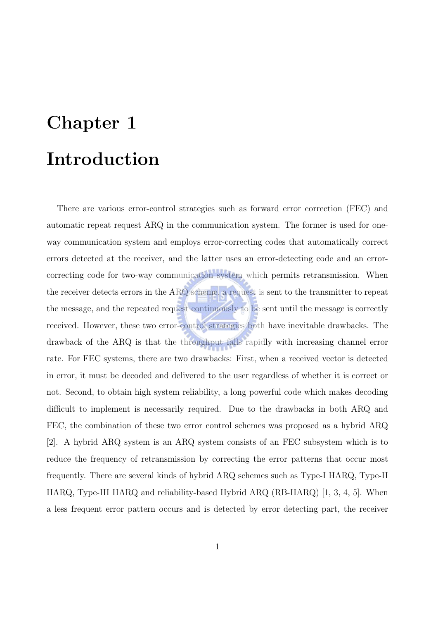## Chapter 1 Introduction

There are various error-control strategies such as forward error correction (FEC) and automatic repeat request ARQ in the communication system. The former is used for oneway communication system and employs error-correcting codes that automatically correct errors detected at the receiver, and the latter uses an error-detecting code and an errorcorrecting code for two-way communication system which permits retransmission. When the receiver detects errors in the ARQ scheme, a request is sent to the transmitter to repeat the message, and the repeated request continuously to be sent until the message is correctly received. However, these two error-control strategies both have inevitable drawbacks. The drawback of the ARQ is that the throughput falls rapidly with increasing channel error rate. For FEC systems, there are two drawbacks: First, when a received vector is detected in error, it must be decoded and delivered to the user regardless of whether it is correct or not. Second, to obtain high system reliability, a long powerful code which makes decoding difficult to implement is necessarily required. Due to the drawbacks in both ARQ and FEC, the combination of these two error control schemes was proposed as a hybrid ARQ [2]. A hybrid ARQ system is an ARQ system consists of an FEC subsystem which is to reduce the frequency of retransmission by correcting the error patterns that occur most frequently. There are several kinds of hybrid ARQ schemes such as Type-I HARQ, Type-II HARQ, Type-III HARQ and reliability-based Hybrid ARQ (RB-HARQ) [1, 3, 4, 5]. When a less frequent error pattern occurs and is detected by error detecting part, the receiver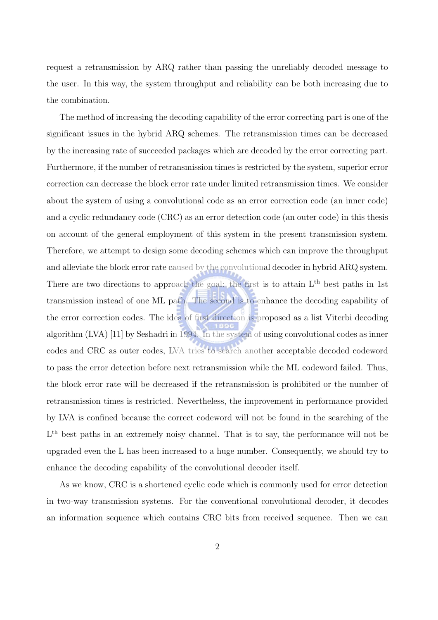request a retransmission by ARQ rather than passing the unreliably decoded message to the user. In this way, the system throughput and reliability can be both increasing due to the combination.

The method of increasing the decoding capability of the error correcting part is one of the significant issues in the hybrid ARQ schemes. The retransmission times can be decreased by the increasing rate of succeeded packages which are decoded by the error correcting part. Furthermore, if the number of retransmission times is restricted by the system, superior error correction can decrease the block error rate under limited retransmission times. We consider about the system of using a convolutional code as an error correction code (an inner code) and a cyclic redundancy code (CRC) as an error detection code (an outer code) in this thesis on account of the general employment of this system in the present transmission system. Therefore, we attempt to design some decoding schemes which can improve the throughput and alleviate the block error rate caused by the convolutional decoder in hybrid ARQ system. There are two directions to approach the goal: the first is to attain  $L<sup>th</sup>$  best paths in 1st transmission instead of one ML path. The second is to enhance the decoding capability of the error correction codes. The idea of first direction is proposed as a list Viterbi decoding algorithm (LVA) [11] by Seshadri in 1994. In the system of using convolutional codes as inner codes and CRC as outer codes, LVA tries to search another acceptable decoded codeword to pass the error detection before next retransmission while the ML codeword failed. Thus, the block error rate will be decreased if the retransmission is prohibited or the number of retransmission times is restricted. Nevertheless, the improvement in performance provided by LVA is confined because the correct codeword will not be found in the searching of the L<sup>th</sup> best paths in an extremely noisy channel. That is to say, the performance will not be upgraded even the L has been increased to a huge number. Consequently, we should try to enhance the decoding capability of the convolutional decoder itself.

As we know, CRC is a shortened cyclic code which is commonly used for error detection in two-way transmission systems. For the conventional convolutional decoder, it decodes an information sequence which contains CRC bits from received sequence. Then we can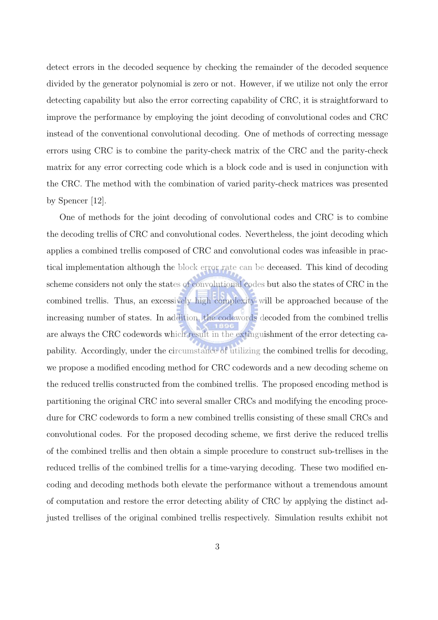detect errors in the decoded sequence by checking the remainder of the decoded sequence divided by the generator polynomial is zero or not. However, if we utilize not only the error detecting capability but also the error correcting capability of CRC, it is straightforward to improve the performance by employing the joint decoding of convolutional codes and CRC instead of the conventional convolutional decoding. One of methods of correcting message errors using CRC is to combine the parity-check matrix of the CRC and the parity-check matrix for any error correcting code which is a block code and is used in conjunction with the CRC. The method with the combination of varied parity-check matrices was presented by Spencer [12].

One of methods for the joint decoding of convolutional codes and CRC is to combine the decoding trellis of CRC and convolutional codes. Nevertheless, the joint decoding which applies a combined trellis composed of CRC and convolutional codes was infeasible in practical implementation although the block error rate can be deceased. This kind of decoding scheme considers not only the states of convolutional codes but also the states of CRC in the combined trellis. Thus, an excessively high complexity will be approached because of the increasing number of states. In addition, the codewords decoded from the combined trellis are always the CRC codewords which result in the extinguishment of the error detecting capability. Accordingly, under the circumstance of utilizing the combined trellis for decoding, we propose a modified encoding method for CRC codewords and a new decoding scheme on the reduced trellis constructed from the combined trellis. The proposed encoding method is partitioning the original CRC into several smaller CRCs and modifying the encoding procedure for CRC codewords to form a new combined trellis consisting of these small CRCs and convolutional codes. For the proposed decoding scheme, we first derive the reduced trellis of the combined trellis and then obtain a simple procedure to construct sub-trellises in the reduced trellis of the combined trellis for a time-varying decoding. These two modified encoding and decoding methods both elevate the performance without a tremendous amount of computation and restore the error detecting ability of CRC by applying the distinct adjusted trellises of the original combined trellis respectively. Simulation results exhibit not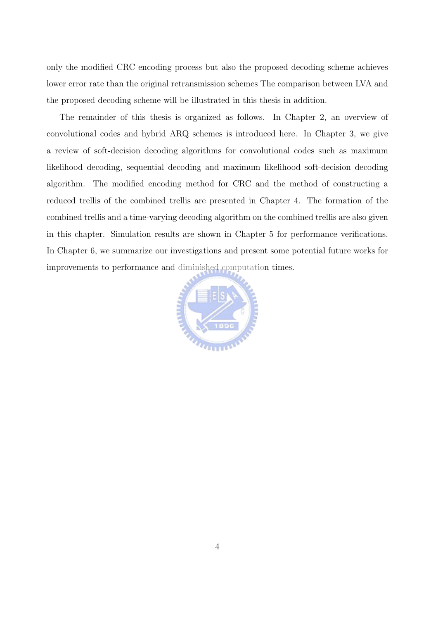only the modified CRC encoding process but also the proposed decoding scheme achieves lower error rate than the original retransmission schemes The comparison between LVA and the proposed decoding scheme will be illustrated in this thesis in addition.

The remainder of this thesis is organized as follows. In Chapter 2, an overview of convolutional codes and hybrid ARQ schemes is introduced here. In Chapter 3, we give a review of soft-decision decoding algorithms for convolutional codes such as maximum likelihood decoding, sequential decoding and maximum likelihood soft-decision decoding algorithm. The modified encoding method for CRC and the method of constructing a reduced trellis of the combined trellis are presented in Chapter 4. The formation of the combined trellis and a time-varying decoding algorithm on the combined trellis are also given in this chapter. Simulation results are shown in Chapter 5 for performance verifications. In Chapter 6, we summarize our investigations and present some potential future works for improvements to performance and diminished computation times.

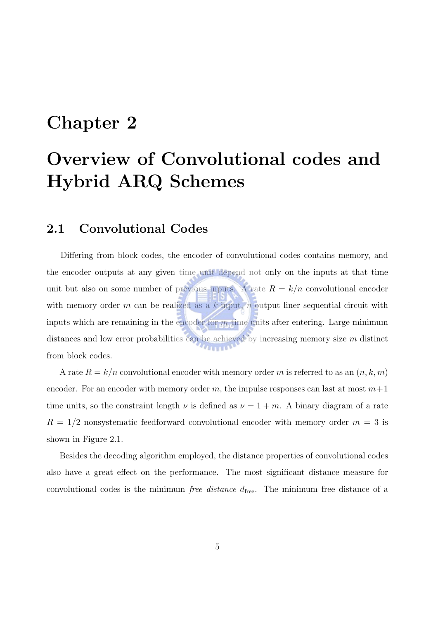### Chapter 2

### Overview of Convolutional codes and Hybrid ARQ Schemes

#### 2.1 Convolutional Codes

Differing from block codes, the encoder of convolutional codes contains memory, and the encoder outputs at any given time unit depend not only on the inputs at that time unit but also on some number of previous inputs. A rate  $R = k/n$  convolutional encoder with memory order m can be realized as a k-input, n-output liner sequential circuit with inputs which are remaining in the encoder for  $m$  time units after entering. Large minimum distances and low error probabilities can be achieved by increasing memory size  $m$  distinct  $T_{\rm H\,H\,H\,H}$ from block codes.

A rate  $R = k/n$  convolutional encoder with memory order m is referred to as an  $(n, k, m)$ encoder. For an encoder with memory order m, the impulse responses can last at most  $m+1$ time units, so the constraint length  $\nu$  is defined as  $\nu = 1 + m$ . A binary diagram of a rate  $R = 1/2$  nonsystematic feedforward convolutional encoder with memory order  $m = 3$  is shown in Figure 2.1.

Besides the decoding algorithm employed, the distance properties of convolutional codes also have a great effect on the performance. The most significant distance measure for convolutional codes is the minimum *free distance*  $d_{\text{free}}$ . The minimum free distance of a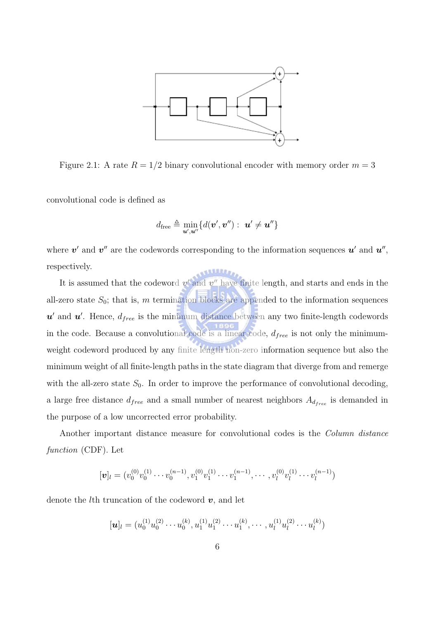

Figure 2.1: A rate  $R = 1/2$  binary convolutional encoder with memory order  $m = 3$ 

convolutional code is defined as

$$
d_{\text{free}} \triangleq \min_{\bm{u}',\bm{u}''} \{d(\bm{v}',\bm{v}'') : \bm{u}' \neq \bm{u}''\}
$$

where  $v'$  and  $v''$  are the codewords corresponding to the information sequences  $u'$  and  $u''$ , respectively.

It is assumed that the codeword  $v'$  and  $v''$  have finite length, and starts and ends in the all-zero state  $S_0$ ; that is, m termination blocks are appended to the information sequences  $u'$  and  $u'$ . Hence,  $d_{free}$  is the minimum distance between any two finite-length codewords in the code. Because a convolutional code is a linear code,  $d_{free}$  is not only the minimumweight codeword produced by any finite length non-zero information sequence but also the minimum weight of all finite-length paths in the state diagram that diverge from and remerge with the all-zero state  $S_0$ . In order to improve the performance of convolutional decoding, a large free distance  $d_{free}$  and a small number of nearest neighbors  $A_{d_{free}}$  is demanded in the purpose of a low uncorrected error probability.

Another important distance measure for convolutional codes is the *Column distance* function (CDF). Let

$$
[\boldsymbol{v}]_l=(v_0^{(0)}v_0^{(1)}\cdots v_0^{(n-1)},v_1^{(0)}v_1^{(1)}\cdots v_1^{(n-1)},\cdots,v_l^{(0)}v_l^{(1)}\cdots v_l^{(n-1)})
$$

denote the *l*th truncation of the codeword  $v$ , and let

$$
[\boldsymbol{u}]_l=(u_0^{(1)}u_0^{(2)}\cdots u_0^{(k)},u_1^{(1)}u_1^{(2)}\cdots u_1^{(k)},\cdots,u_l^{(1)}u_l^{(2)}\cdots u_l^{(k)})
$$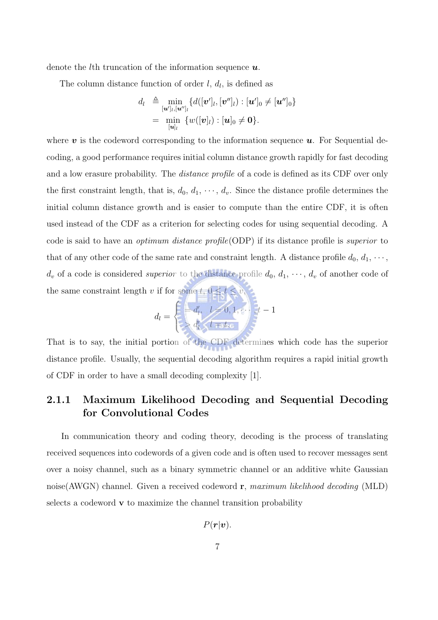denote the *l*th truncation of the information sequence  $u$ .

The column distance function of order  $l, d_l$ , is defined as

$$
d_l \triangleq \min_{\substack{[\boldsymbol{u}']_l,[\boldsymbol{u}'']_l}} \{d([\boldsymbol{v}']_l,[\boldsymbol{v}'']_l):[\boldsymbol{u}']_0\neq[\boldsymbol{u}'']_0\}
$$
  
= 
$$
\min_{[\boldsymbol{u}]_l} \{w([\boldsymbol{v}]_l):[\boldsymbol{u}]_0\neq\boldsymbol{0}\}.
$$

where  $v$  is the codeword corresponding to the information sequence  $u$ . For Sequential decoding, a good performance requires initial column distance growth rapidly for fast decoding and a low erasure probability. The *distance profile* of a code is defined as its CDF over only the first constraint length, that is,  $d_0, d_1, \dots, d_v$ . Since the distance profile determines the initial column distance growth and is easier to compute than the entire CDF, it is often used instead of the CDF as a criterion for selecting codes for using sequential decoding. A code is said to have an *optimum distance profile*(ODP) if its distance profile is *superior* to that of any other code of the same rate and constraint length. A distance profile  $d_0, d_1, \cdots$ ,  $d_v$  of a code is considered *superior* to the distance profile  $d_0, d_1, \dots, d_v$  of another code of the same constraint length v if for some  $t, 0 \le t \le v$ ,

$$
d_l = \begin{cases} = d'_l, & l = 0, 1, \dots, t-1 \\ > d'_l, & l = t.\end{cases}
$$

That is to say, the initial portion of the CDF determines which code has the superior distance profile. Usually, the sequential decoding algorithm requires a rapid initial growth of CDF in order to have a small decoding complexity [1].

#### 2.1.1 Maximum Likelihood Decoding and Sequential Decoding for Convolutional Codes

In communication theory and coding theory, decoding is the process of translating received sequences into codewords of a given code and is often used to recover messages sent over a noisy channel, such as a binary symmetric channel or an additive white Gaussian noise(AWGN) channel. Given a received codeword  $\mathbf{r}$ , maximum likelihood decoding (MLD) selects a codeword  $\bf{v}$  to maximize the channel transition probability

$$
P(\boldsymbol{r}|\boldsymbol{v}).
$$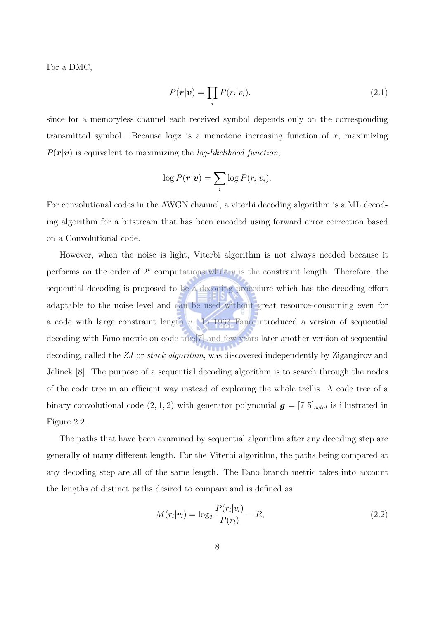For a DMC,

$$
P(\mathbf{r}|\mathbf{v}) = \prod_i P(r_i|v_i). \tag{2.1}
$$

since for a memoryless channel each received symbol depends only on the corresponding transmitted symbol. Because  $\log x$  is a monotone increasing function of x, maximizing  $P(r|\mathbf{v})$  is equivalent to maximizing the *log-likelihood function*,

$$
\log P(\boldsymbol{r}|\boldsymbol{v}) = \sum_i \log P(r_i|v_i).
$$

For convolutional codes in the AWGN channel, a viterbi decoding algorithm is a ML decoding algorithm for a bitstream that has been encoded using forward error correction based on a Convolutional code.

However, when the noise is light, Viterbi algorithm is not always needed because it performs on the order of  $2^v$  computations while v is the constraint length. Therefore, the sequential decoding is proposed to be a decoding procedure which has the decoding effort adaptable to the noise level and can be used without great resource-consuming even for a code with large constraint length  $v$ . In 1963 Fano introduced a version of sequential decoding with Fano metric on code tree[7] and few years later another version of sequential decoding, called the ZJ or stack algorithm, was discovered independently by Zigangirov and Jelinek [8]. The purpose of a sequential decoding algorithm is to search through the nodes of the code tree in an efficient way instead of exploring the whole trellis. A code tree of a binary convolutional code  $(2, 1, 2)$  with generator polynomial  $g = [7 \ 5]_{octal}$  is illustrated in Figure 2.2.

The paths that have been examined by sequential algorithm after any decoding step are generally of many different length. For the Viterbi algorithm, the paths being compared at any decoding step are all of the same length. The Fano branch metric takes into account the lengths of distinct paths desired to compare and is defined as

$$
M(r_l|v_l) = \log_2 \frac{P(r_l|v_l)}{P(r_l)} - R,
$$
\n(2.2)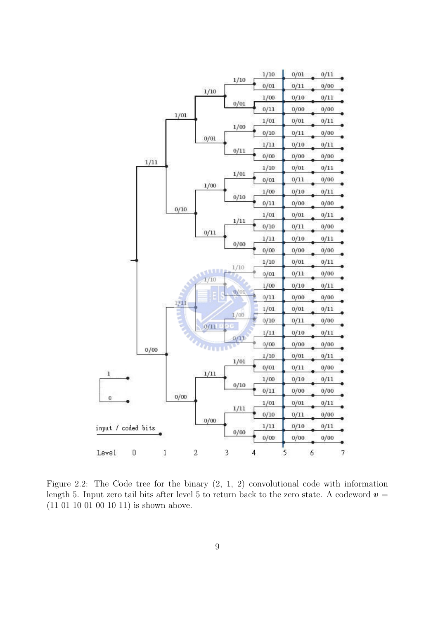

Figure 2.2: The Code tree for the binary (2, 1, 2) convolutional code with information length 5. Input zero tail bits after level 5 to return back to the zero state. A codeword  $v =$ (11 01 10 01 00 10 11) is shown above.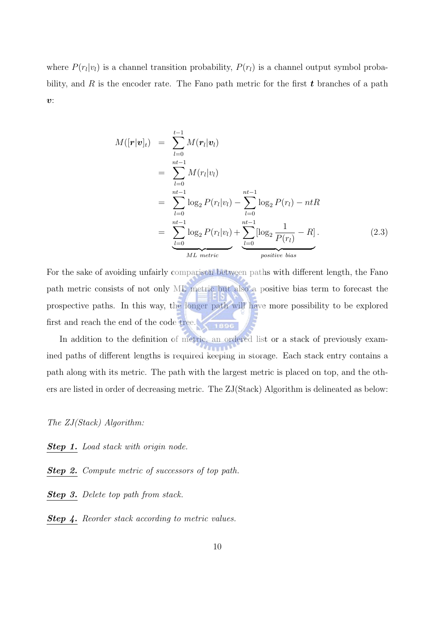where  $P(r_l|v_l)$  is a channel transition probability,  $P(r_l)$  is a channel output symbol probability, and R is the encoder rate. The Fano path metric for the first  $t$  branches of a path  $v$ :

$$
M([\mathbf{r}|\mathbf{v}]_t) = \sum_{l=0}^{t-1} M(\mathbf{r}_l|\mathbf{v}_l)
$$
  
= 
$$
\sum_{l=0}^{nt-1} M(r_l|\mathbf{v}_l)
$$
  
= 
$$
\sum_{l=0}^{nt-1} \log_2 P(r_l|\mathbf{v}_l) - \sum_{l=0}^{nt-1} \log_2 P(r_l) - ntR
$$
  
= 
$$
\sum_{l=0}^{nt-1} \log_2 P(r_l|\mathbf{v}_l) + \sum_{l=0}^{nt-1} [\log_2 \frac{1}{P(r_l)} - R].
$$
 (2.3)

For the sake of avoiding unfairly comparison between paths with different length, the Fano path metric consists of not only ML metric but also a positive bias term to forecast the prospective paths. In this way, the longer path will have more possibility to be explored first and reach the end of the code tree.

In addition to the definition of metric, an ordered list or a stack of previously exam- $11111$ ined paths of different lengths is required keeping in storage. Each stack entry contains a path along with its metric. The path with the largest metric is placed on top, and the others are listed in order of decreasing metric. The ZJ(Stack) Algorithm is delineated as below:

The ZJ(Stack) Algorithm:

Step 1. Load stack with origin node.

Step 2. Compute metric of successors of top path.

Step 3. Delete top path from stack.

**Step 4.** Reorder stack according to metric values.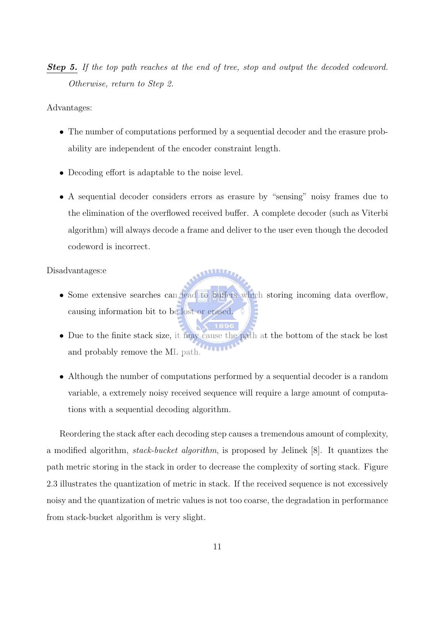**Step 5.** If the top path reaches at the end of tree, stop and output the decoded codeword. Otherwise, return to Step 2.

Advantages:

- The number of computations performed by a sequential decoder and the erasure probability are independent of the encoder constraint length.
- Decoding effort is adaptable to the noise level.
- A sequential decoder considers errors as erasure by "sensing" noisy frames due to the elimination of the overflowed received buffer. A complete decoder (such as Viterbi algorithm) will always decode a frame and deliver to the user even though the decoded codeword is incorrect.

Disadvantages:e

- Some extensive searches can lead to buffers which storing incoming data overflow, causing information bit to be lost or erased.
- Due to the finite stack size, it may cause the path at the bottom of the stack be lost and probably remove the ML path.
- Although the number of computations performed by a sequential decoder is a random variable, a extremely noisy received sequence will require a large amount of computations with a sequential decoding algorithm.

Reordering the stack after each decoding step causes a tremendous amount of complexity, a modified algorithm, stack-bucket algorithm, is proposed by Jelinek [8]. It quantizes the path metric storing in the stack in order to decrease the complexity of sorting stack. Figure 2.3 illustrates the quantization of metric in stack. If the received sequence is not excessively noisy and the quantization of metric values is not too coarse, the degradation in performance from stack-bucket algorithm is very slight.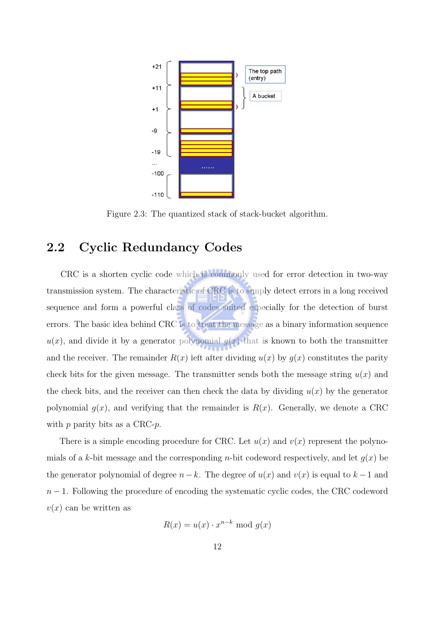

Figure 2.3: The quantized stack of stack-bucket algorithm.

### 2.2 Cyclic Redundancy Codes

CRC is a shorten cyclic code which is commonly used for error detection in two-way transmission system. The characteristic of CRC is to simply detect errors in a long received sequence and form a powerful class of codes suited especially for the detection of burst errors. The basic idea behind CRC is to treat the message as a binary information sequence  $u(x)$ , and divide it by a generator polynomial  $g(x)$  that is known to both the transmitter and the receiver. The remainder  $R(x)$  left after dividing  $u(x)$  by  $g(x)$  constitutes the parity check bits for the given message. The transmitter sends both the message string  $u(x)$  and the check bits, and the receiver can then check the data by dividing  $u(x)$  by the generator polynomial  $g(x)$ , and verifying that the remainder is  $R(x)$ . Generally, we denote a CRC with  $p$  parity bits as a CRC- $p$ .

There is a simple encoding procedure for CRC. Let  $u(x)$  and  $v(x)$  represent the polynomials of a k-bit message and the corresponding *n*-bit codeword respectively, and let  $q(x)$  be the generator polynomial of degree  $n-k$ . The degree of  $u(x)$  and  $v(x)$  is equal to  $k-1$  and  $n-1$ . Following the procedure of encoding the systematic cyclic codes, the CRC codeword  $v(x)$  can be written as

$$
R(x) = u(x) \cdot x^{n-k} \text{ mod } g(x)
$$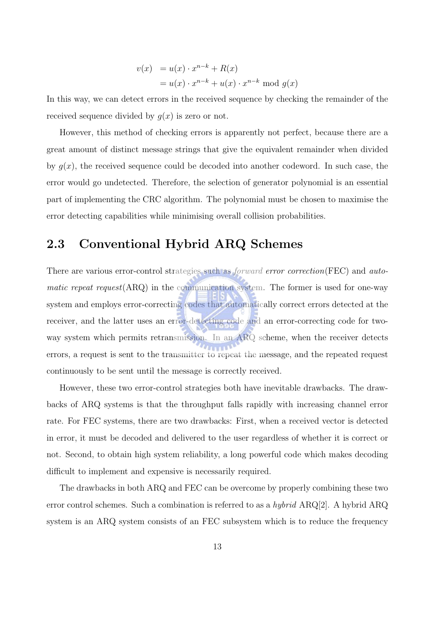$$
v(x) = u(x) \cdot x^{n-k} + R(x)
$$
  
=  $u(x) \cdot x^{n-k} + u(x) \cdot x^{n-k} \mod g(x)$ 

In this way, we can detect errors in the received sequence by checking the remainder of the received sequence divided by  $g(x)$  is zero or not.

However, this method of checking errors is apparently not perfect, because there are a great amount of distinct message strings that give the equivalent remainder when divided by  $q(x)$ , the received sequence could be decoded into another codeword. In such case, the error would go undetected. Therefore, the selection of generator polynomial is an essential part of implementing the CRC algorithm. The polynomial must be chosen to maximise the error detecting capabilities while minimising overall collision probabilities.

#### 2.3 Conventional Hybrid ARQ Schemes

There are various error-control strategies such as *forward error correction*(FEC) and *auto*matic repeat request(ARQ) in the communication system. The former is used for one-way system and employs error-correcting codes that automatically correct errors detected at the receiver, and the latter uses an error-detecting code and an error-correcting code for twoway system which permits retransmission. In an ARQ scheme, when the receiver detects errors, a request is sent to the transmitter to repeat the message, and the repeated request continuously to be sent until the message is correctly received.

However, these two error-control strategies both have inevitable drawbacks. The drawbacks of ARQ systems is that the throughput falls rapidly with increasing channel error rate. For FEC systems, there are two drawbacks: First, when a received vector is detected in error, it must be decoded and delivered to the user regardless of whether it is correct or not. Second, to obtain high system reliability, a long powerful code which makes decoding difficult to implement and expensive is necessarily required.

The drawbacks in both ARQ and FEC can be overcome by properly combining these two error control schemes. Such a combination is referred to as a *hybrid* ARQ[2]. A hybrid ARQ system is an ARQ system consists of an FEC subsystem which is to reduce the frequency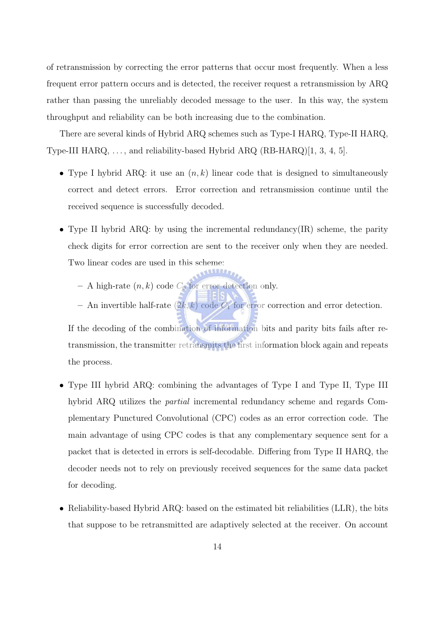of retransmission by correcting the error patterns that occur most frequently. When a less frequent error pattern occurs and is detected, the receiver request a retransmission by ARQ rather than passing the unreliably decoded message to the user. In this way, the system throughput and reliability can be both increasing due to the combination.

There are several kinds of Hybrid ARQ schemes such as Type-I HARQ, Type-II HARQ, Type-III HARQ, ..., and reliability-based Hybrid ARQ (RB-HARQ)[1, 3, 4, 5].

- Type I hybrid ARQ: it use an  $(n, k)$  linear code that is designed to simultaneously correct and detect errors. Error correction and retransmission continue until the received sequence is successfully decoded.
- Type II hybrid ARQ: by using the incremental redundancy  $(IR)$  scheme, the parity check digits for error correction are sent to the receiver only when they are needed. Two linear codes are used in this scheme:
	- A high-rate  $(n, k)$  code  $C_0$  for error detection only.
	- An invertible half-rate  $(2k, k)$  code  $C_1$  for error correction and error detection.

If the decoding of the combination of information bits and parity bits fails after retransmission, the transmitter retransmits the first information block again and repeats the process.

- Type III hybrid ARQ: combining the advantages of Type I and Type II, Type III hybrid ARQ utilizes the partial incremental redundancy scheme and regards Complementary Punctured Convolutional (CPC) codes as an error correction code. The main advantage of using CPC codes is that any complementary sequence sent for a packet that is detected in errors is self-decodable. Differing from Type II HARQ, the decoder needs not to rely on previously received sequences for the same data packet for decoding.
- Reliability-based Hybrid ARQ: based on the estimated bit reliabilities (LLR), the bits that suppose to be retransmitted are adaptively selected at the receiver. On account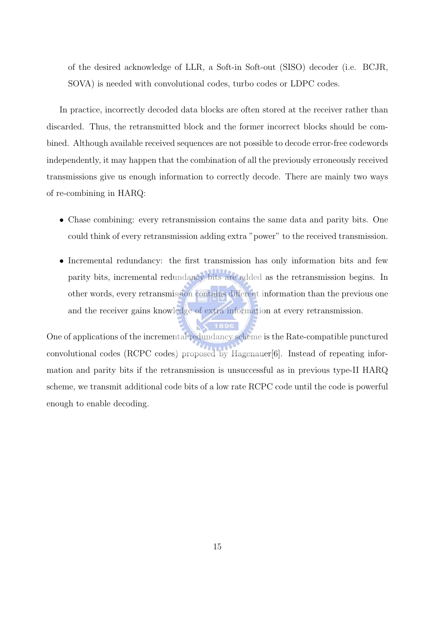of the desired acknowledge of LLR, a Soft-in Soft-out (SISO) decoder (i.e. BCJR, SOVA) is needed with convolutional codes, turbo codes or LDPC codes.

In practice, incorrectly decoded data blocks are often stored at the receiver rather than discarded. Thus, the retransmitted block and the former incorrect blocks should be combined. Although available received sequences are not possible to decode error-free codewords independently, it may happen that the combination of all the previously erroneously received transmissions give us enough information to correctly decode. There are mainly two ways of re-combining in HARQ:

- Chase combining: every retransmission contains the same data and parity bits. One could think of every retransmission adding extra "power" to the received transmission.
- Incremental redundancy: the first transmission has only information bits and few parity bits, incremental redundancy bits are added as the retransmission begins. In other words, every retransmission contains different information than the previous one and the receiver gains knowledge of extra information at every retransmission.

One of applications of the incremental redundancy scheme is the Rate-compatible punctured convolutional codes (RCPC codes) proposed by Hagenauer[6]. Instead of repeating information and parity bits if the retransmission is unsuccessful as in previous type-II HARQ scheme, we transmit additional code bits of a low rate RCPC code until the code is powerful enough to enable decoding.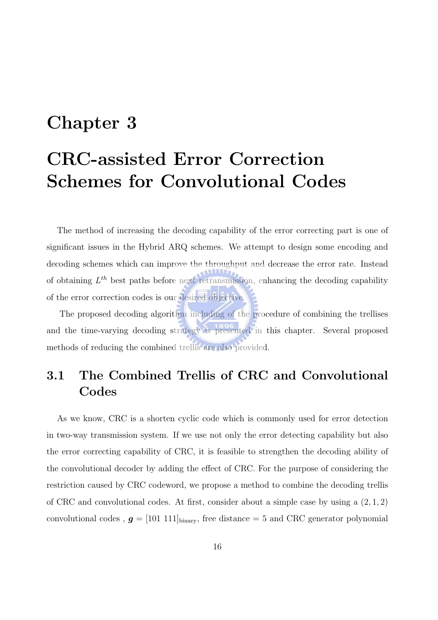### Chapter 3

### CRC-assisted Error Correction Schemes for Convolutional Codes

The method of increasing the decoding capability of the error correcting part is one of significant issues in the Hybrid ARQ schemes. We attempt to design some encoding and decoding schemes which can improve the throughput and decrease the error rate. Instead of obtaining  $L<sup>th</sup>$  best paths before next retransmission, enhancing the decoding capability of the error correction codes is our desired objective.

The proposed decoding algorithm including of the procedure of combining the trellises and the time-varying decoding strategy is presented in this chapter. Several proposed methods of reducing the combined trellis are also provided.

### 3.1 The Combined Trellis of CRC and Convolutional Codes

As we know, CRC is a shorten cyclic code which is commonly used for error detection in two-way transmission system. If we use not only the error detecting capability but also the error correcting capability of CRC, it is feasible to strengthen the decoding ability of the convolutional decoder by adding the effect of CRC. For the purpose of considering the restriction caused by CRC codeword, we propose a method to combine the decoding trellis of CRC and convolutional codes. At first, consider about a simple case by using a  $(2, 1, 2)$ convolutional codes ,  $g = [101 \ 111]_{\text{binary}}$ , free distance = 5 and CRC generator polynomial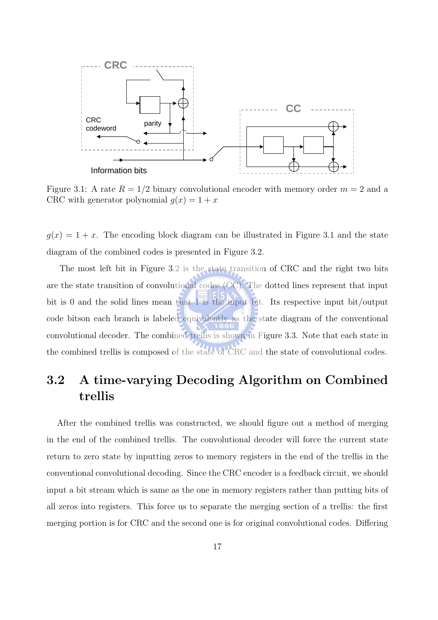

Figure 3.1: A rate  $R = 1/2$  binary convolutional encoder with memory order  $m = 2$  and a CRC with generator polynomial  $q(x) = 1 + x$ 

 $g(x) = 1 + x$ . The encoding block diagram can be illustrated in Figure 3.1 and the state diagram of the combined codes is presented in Figure 3.2.

The most left bit in Figure 3.2 is the state transition of CRC and the right two bits are the state transition of convolutional codes (CC). The dotted lines represent that input bit is 0 and the solid lines mean that 1 is the input bit. Its respective input bit/output code bitson each branch is labeled equivalently as the state diagram of the conventional convolutional decoder. The combined trellis is shown in Figure 3.3. Note that each state in the combined trellis is composed of the state of CRC and the state of convolutional codes.

### 3.2 A time-varying Decoding Algorithm on Combined trellis

After the combined trellis was constructed, we should figure out a method of merging in the end of the combined trellis. The convolutional decoder will force the current state return to zero state by inputting zeros to memory registers in the end of the trellis in the conventional convolutional decoding. Since the CRC encoder is a feedback circuit, we should input a bit stream which is same as the one in memory registers rather than putting bits of all zeros into registers. This force us to separate the merging section of a trellis: the first merging portion is for CRC and the second one is for original convolutional codes. Differing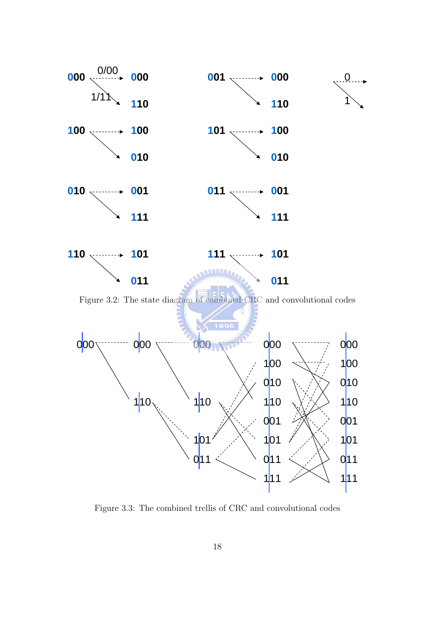

Figure 3.3: The combined trellis of CRC and convolutional codes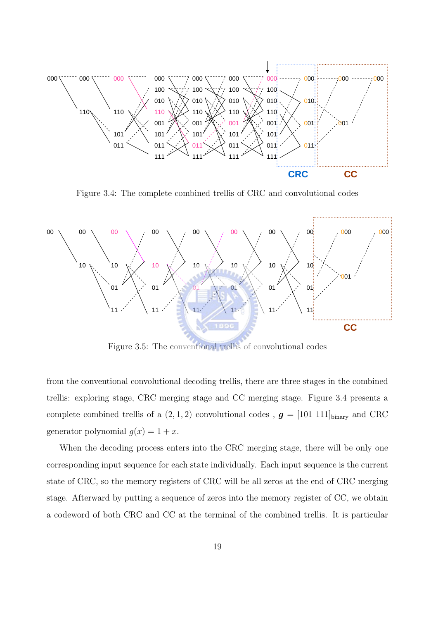

Figure 3.4: The complete combined trellis of CRC and convolutional codes



Figure 3.5: The conventional trellis of convolutional codes

from the conventional convolutional decoding trellis, there are three stages in the combined trellis: exploring stage, CRC merging stage and CC merging stage. Figure 3.4 presents a complete combined trellis of a  $(2, 1, 2)$  convolutional codes,  $g = [101 \ 111]_{\text{binary}}$  and CRC generator polynomial  $g(x) = 1 + x$ .

When the decoding process enters into the CRC merging stage, there will be only one corresponding input sequence for each state individually. Each input sequence is the current state of CRC, so the memory registers of CRC will be all zeros at the end of CRC merging stage. Afterward by putting a sequence of zeros into the memory register of CC, we obtain a codeword of both CRC and CC at the terminal of the combined trellis. It is particular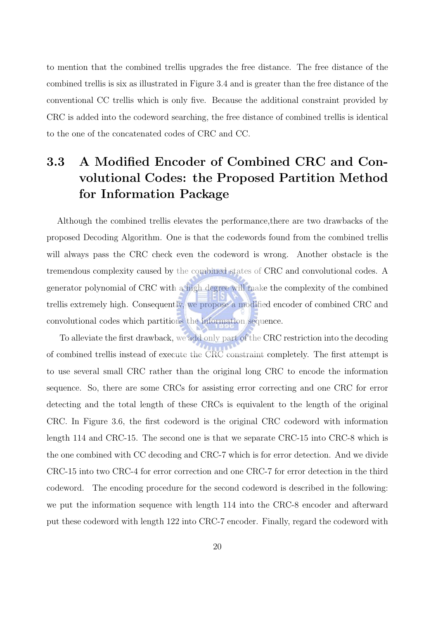to mention that the combined trellis upgrades the free distance. The free distance of the combined trellis is six as illustrated in Figure 3.4 and is greater than the free distance of the conventional CC trellis which is only five. Because the additional constraint provided by CRC is added into the codeword searching, the free distance of combined trellis is identical to the one of the concatenated codes of CRC and CC.

### 3.3 A Modified Encoder of Combined CRC and Convolutional Codes: the Proposed Partition Method for Information Package

Although the combined trellis elevates the performance,there are two drawbacks of the proposed Decoding Algorithm. One is that the codewords found from the combined trellis will always pass the CRC check even the codeword is wrong. Another obstacle is the tremendous complexity caused by the combined states of CRC and convolutional codes. A generator polynomial of CRC with a high degree will make the complexity of the combined trellis extremely high. Consequently, we propose a modified encoder of combined CRC and convolutional codes which partitions the information sequence.

To alleviate the first drawback, we add only part of the CRC restriction into the decoding of combined trellis instead of execute the CRC constraint completely. The first attempt is to use several small CRC rather than the original long CRC to encode the information sequence. So, there are some CRCs for assisting error correcting and one CRC for error detecting and the total length of these CRCs is equivalent to the length of the original CRC. In Figure 3.6, the first codeword is the original CRC codeword with information length 114 and CRC-15. The second one is that we separate CRC-15 into CRC-8 which is the one combined with CC decoding and CRC-7 which is for error detection. And we divide CRC-15 into two CRC-4 for error correction and one CRC-7 for error detection in the third codeword. The encoding procedure for the second codeword is described in the following: we put the information sequence with length 114 into the CRC-8 encoder and afterward put these codeword with length 122 into CRC-7 encoder. Finally, regard the codeword with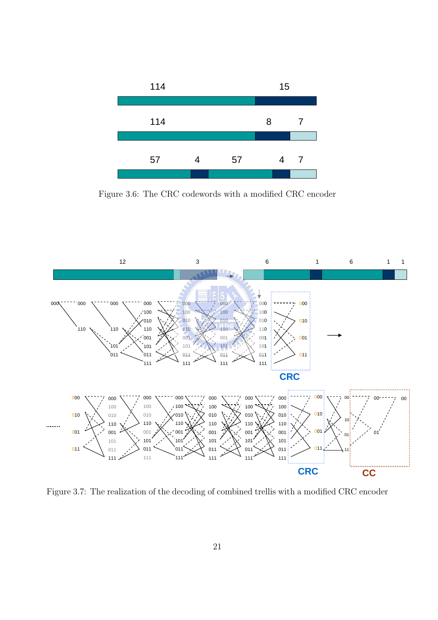

Figure 3.6: The CRC codewords with a modified CRC encoder



Figure 3.7: The realization of the decoding of combined trellis with a modified CRC encoder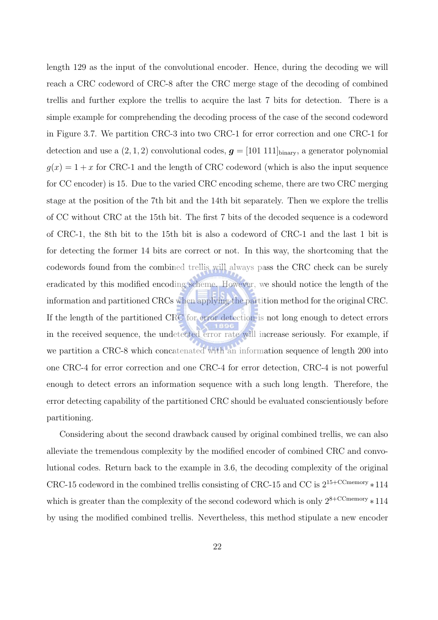length 129 as the input of the convolutional encoder. Hence, during the decoding we will reach a CRC codeword of CRC-8 after the CRC merge stage of the decoding of combined trellis and further explore the trellis to acquire the last 7 bits for detection. There is a simple example for comprehending the decoding process of the case of the second codeword in Figure 3.7. We partition CRC-3 into two CRC-1 for error correction and one CRC-1 for detection and use a  $(2, 1, 2)$  convolutional codes,  $g = [101 \ 111]_{\text{binary}}$ , a generator polynomial  $g(x) = 1 + x$  for CRC-1 and the length of CRC codeword (which is also the input sequence for CC encoder) is 15. Due to the varied CRC encoding scheme, there are two CRC merging stage at the position of the 7th bit and the 14th bit separately. Then we explore the trellis of CC without CRC at the 15th bit. The first 7 bits of the decoded sequence is a codeword of CRC-1, the 8th bit to the 15th bit is also a codeword of CRC-1 and the last 1 bit is for detecting the former 14 bits are correct or not. In this way, the shortcoming that the codewords found from the combined trellis will always pass the CRC check can be surely eradicated by this modified encoding scheme. However, we should notice the length of the information and partitioned CRCs when applying the partition method for the original CRC. If the length of the partitioned CRC for error detection is not long enough to detect errors in the received sequence, the undetected error rate will increase seriously. For example, if we partition a CRC-8 which concatenated with an information sequence of length 200 into one CRC-4 for error correction and one CRC-4 for error detection, CRC-4 is not powerful enough to detect errors an information sequence with a such long length. Therefore, the error detecting capability of the partitioned CRC should be evaluated conscientiously before partitioning.

Considering about the second drawback caused by original combined trellis, we can also alleviate the tremendous complexity by the modified encoder of combined CRC and convolutional codes. Return back to the example in 3.6, the decoding complexity of the original CRC-15 codeword in the combined trellis consisting of CRC-15 and CC is  $2^{15+CCmemory} * 114$ which is greater than the complexity of the second codeword which is only  $2^{8+CCmemory} * 114$ by using the modified combined trellis. Nevertheless, this method stipulate a new encoder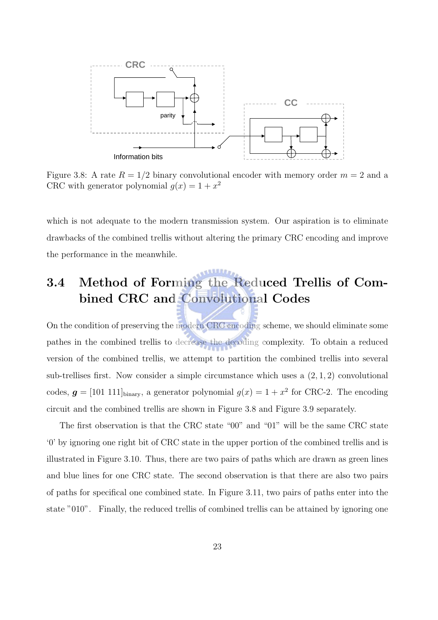

Figure 3.8: A rate  $R = 1/2$  binary convolutional encoder with memory order  $m = 2$  and a CRC with generator polynomial  $g(x) = 1 + x^2$ 

which is not adequate to the modern transmission system. Our aspiration is to eliminate drawbacks of the combined trellis without altering the primary CRC encoding and improve the performance in the meanwhile.

### 3.4 Method of Forming the Reduced Trellis of Combined CRC and Convolutional Codes

On the condition of preserving the modern CRC encoding scheme, we should eliminate some pathes in the combined trellis to decrease the decoding complexity. To obtain a reduced version of the combined trellis, we attempt to partition the combined trellis into several sub-trellises first. Now consider a simple circumstance which uses a (2, 1, 2) convolutional codes,  $g = [101 \ 111]_{\text{binary}}$ , a generator polynomial  $g(x) = 1 + x^2$  for CRC-2. The encoding circuit and the combined trellis are shown in Figure 3.8 and Figure 3.9 separately.

The first observation is that the CRC state "00" and "01" will be the same CRC state '0' by ignoring one right bit of CRC state in the upper portion of the combined trellis and is illustrated in Figure 3.10. Thus, there are two pairs of paths which are drawn as green lines and blue lines for one CRC state. The second observation is that there are also two pairs of paths for specifical one combined state. In Figure 3.11, two pairs of paths enter into the state "010". Finally, the reduced trellis of combined trellis can be attained by ignoring one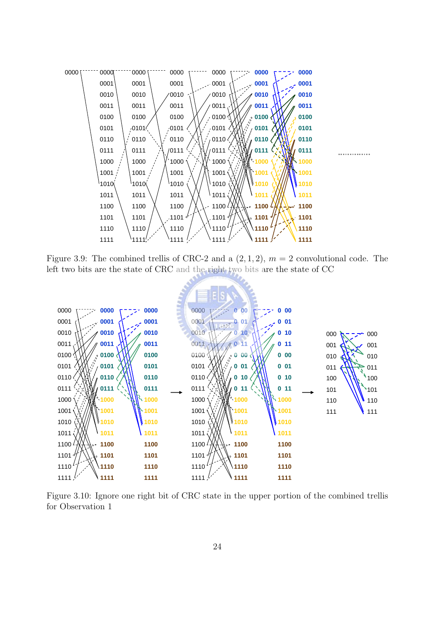

Figure 3.9: The combined trellis of CRC-2 and a  $(2, 1, 2)$ ,  $m = 2$  convolutional code. The left two bits are the state of CRC and the right two bits are the state of CC



Figure 3.10: Ignore one right bit of CRC state in the upper portion of the combined trellis for Observation 1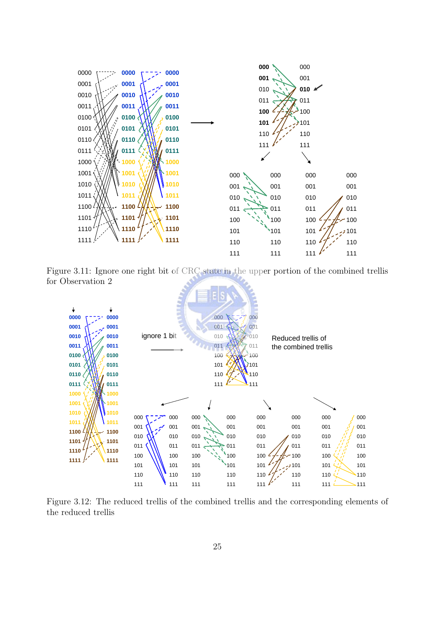

Figure 3.11: Ignore one right bit of CRC state in the upper portion of the combined trellis for Observation 2



Figure 3.12: The reduced trellis of the combined trellis and the corresponding elements of the reduced trellis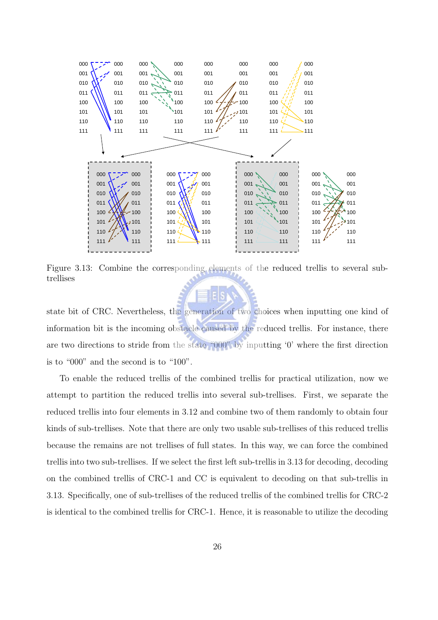

Figure 3.13: Combine the corresponding elements of the reduced trellis to several subtrellises

state bit of CRC. Nevertheless, the generation of two choices when inputting one kind of information bit is the incoming obstacle caused by the reduced trellis. For instance, there are two directions to stride from the state "000" by inputting '0' where the first direction is to "000" and the second is to "100".

To enable the reduced trellis of the combined trellis for practical utilization, now we attempt to partition the reduced trellis into several sub-trellises. First, we separate the reduced trellis into four elements in 3.12 and combine two of them randomly to obtain four kinds of sub-trellises. Note that there are only two usable sub-trellises of this reduced trellis because the remains are not trellises of full states. In this way, we can force the combined trellis into two sub-trellises. If we select the first left sub-trellis in 3.13 for decoding, decoding on the combined trellis of CRC-1 and CC is equivalent to decoding on that sub-trellis in 3.13. Specifically, one of sub-trellises of the reduced trellis of the combined trellis for CRC-2 is identical to the combined trellis for CRC-1. Hence, it is reasonable to utilize the decoding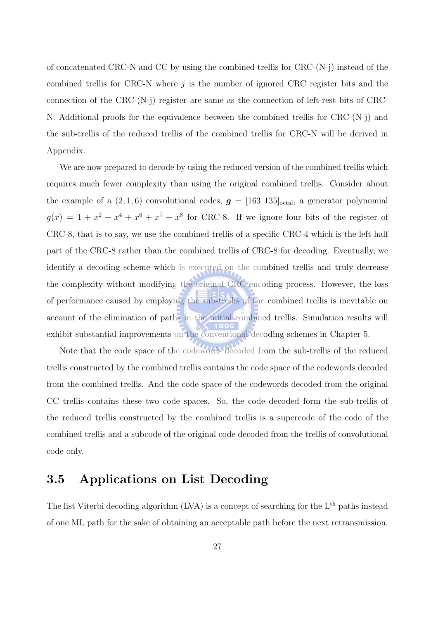of concatenated CRC-N and CC by using the combined trellis for CRC-(N-j) instead of the combined trellis for CRC-N where  $j$  is the number of ignored CRC register bits and the connection of the CRC- $(N-i)$  register are same as the connection of left-rest bits of CRC-N. Additional proofs for the equivalence between the combined trellis for CRC-(N-j) and the sub-trellis of the reduced trellis of the combined trellis for CRC-N will be derived in Appendix.

We are now prepared to decode by using the reduced version of the combined trellis which requires much fewer complexity than using the original combined trellis. Consider about the example of a  $(2, 1, 6)$  convolutional codes,  $g = [163 \ 135]_{\text{octal}}$ , a generator polynomial  $g(x) = 1 + x^2 + x^4 + x^6 + x^7 + x^8$  for CRC-8. If we ignore four bits of the register of CRC-8, that is to say, we use the combined trellis of a specific CRC-4 which is the left half part of the CRC-8 rather than the combined trellis of CRC-8 for decoding. Eventually, we identify a decoding scheme which is executed on the combined trellis and truly decrease the complexity without modifying the original CRC encoding process. However, the loss of performance caused by employing the sub-trellis of the combined trellis is inevitable on account of the elimination of paths in the initial combined trellis. Simulation results will exhibit substantial improvements on the conventional decoding schemes in Chapter 5.

Note that the code space of the codewords decoded from the sub-trellis of the reduced trellis constructed by the combined trellis contains the code space of the codewords decoded from the combined trellis. And the code space of the codewords decoded from the original CC trellis contains these two code spaces. So, the code decoded form the sub-trellis of the reduced trellis constructed by the combined trellis is a supercode of the code of the combined trellis and a subcode of the original code decoded from the trellis of convolutional code only.

#### 3.5 Applications on List Decoding

The list Viterbi decoding algorithm  $(LVA)$  is a concept of searching for the  $L<sup>th</sup>$  paths instead of one ML path for the sake of obtaining an acceptable path before the next retransmission.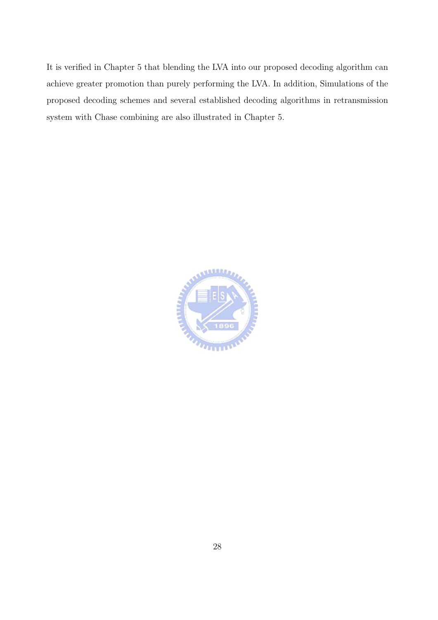It is verified in Chapter 5 that blending the LVA into our proposed decoding algorithm can achieve greater promotion than purely performing the LVA. In addition, Simulations of the proposed decoding schemes and several established decoding algorithms in retransmission system with Chase combining are also illustrated in Chapter 5.

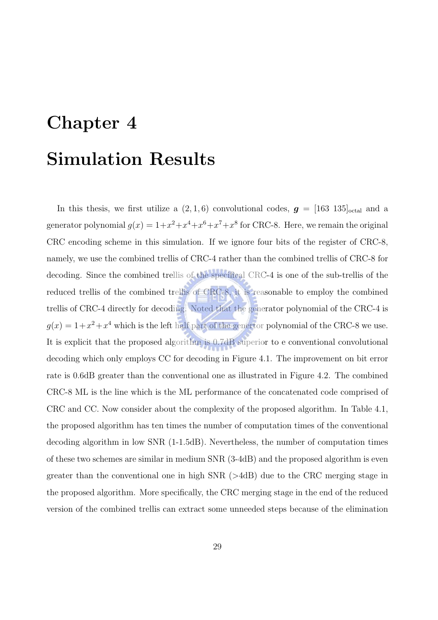# Chapter 4 Simulation Results

In this thesis, we first utilize a  $(2, 1, 6)$  convolutional codes,  $g = [163 \ 135]_{\text{octal}}$  and a generator polynomial  $g(x) = 1 + x^2 + x^4 + x^6 + x^7 + x^8$  for CRC-8. Here, we remain the original CRC encoding scheme in this simulation. If we ignore four bits of the register of CRC-8, namely, we use the combined trellis of CRC-4 rather than the combined trellis of CRC-8 for decoding. Since the combined trellis of the specifical CRC-4 is one of the sub-trellis of the reduced trellis of the combined trellis of CRC-8, it is reasonable to employ the combined trellis of CRC-4 directly for decoding. Noted that the generator polynomial of the CRC-4 is  $g(x) = 1 + x^2 + x^4$  which is the left half part of the genertor polynomial of the CRC-8 we use. It is explicit that the proposed algorithm is  $0.7dB$  superior to e conventional convolutional decoding which only employs CC for decoding in Figure 4.1. The improvement on bit error rate is 0.6dB greater than the conventional one as illustrated in Figure 4.2. The combined CRC-8 ML is the line which is the ML performance of the concatenated code comprised of CRC and CC. Now consider about the complexity of the proposed algorithm. In Table 4.1, the proposed algorithm has ten times the number of computation times of the conventional decoding algorithm in low SNR (1-1.5dB). Nevertheless, the number of computation times of these two schemes are similar in medium SNR (3-4dB) and the proposed algorithm is even greater than the conventional one in high SNR (>4dB) due to the CRC merging stage in the proposed algorithm. More specifically, the CRC merging stage in the end of the reduced version of the combined trellis can extract some unneeded steps because of the elimination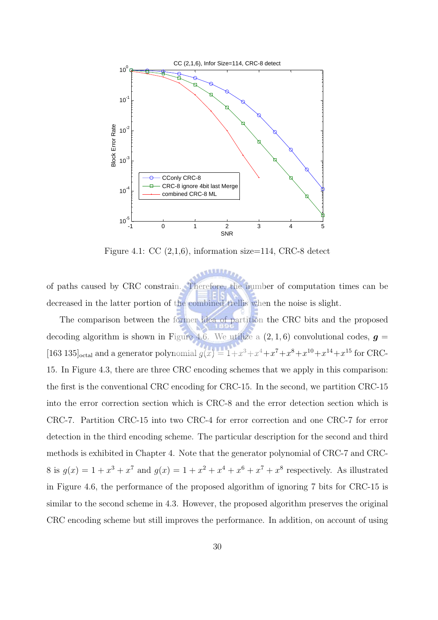

Figure 4.1: CC  $(2,1,6)$ , information size=114, CRC-8 detect

of paths caused by CRC constrain. Therefore, the number of computation times can be decreased in the latter portion of the combined trellis when the noise is slight.

The comparison between the former idea of partition the CRC bits and the proposed decoding algorithm is shown in Figure 4.6. We utilize a  $(2, 1, 6)$  convolutional codes,  $g =$ [163 135]<sub>octal</sub> and a generator polynomial  $g(x) = 1 + x^3 + x^4 + x^7 + x^8 + x^{10} + x^{14} + x^{15}$  for CRC-15. In Figure 4.3, there are three CRC encoding schemes that we apply in this comparison: the first is the conventional CRC encoding for CRC-15. In the second, we partition CRC-15 into the error correction section which is CRC-8 and the error detection section which is CRC-7. Partition CRC-15 into two CRC-4 for error correction and one CRC-7 for error detection in the third encoding scheme. The particular description for the second and third methods is exhibited in Chapter 4. Note that the generator polynomial of CRC-7 and CRC-8 is  $g(x) = 1 + x^3 + x^7$  and  $g(x) = 1 + x^2 + x^4 + x^6 + x^7 + x^8$  respectively. As illustrated in Figure 4.6, the performance of the proposed algorithm of ignoring 7 bits for CRC-15 is similar to the second scheme in 4.3. However, the proposed algorithm preserves the original CRC encoding scheme but still improves the performance. In addition, on account of using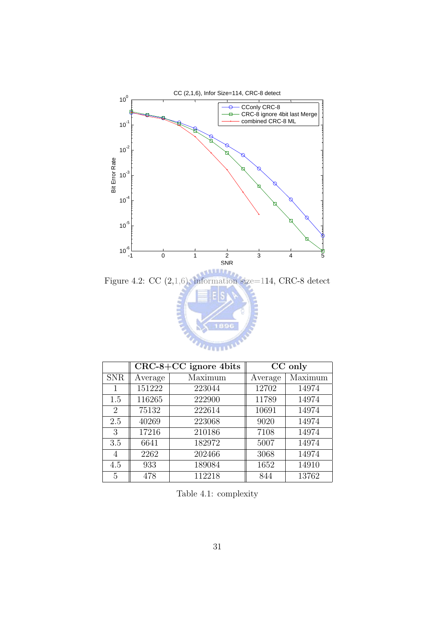



Table 4.1: complexity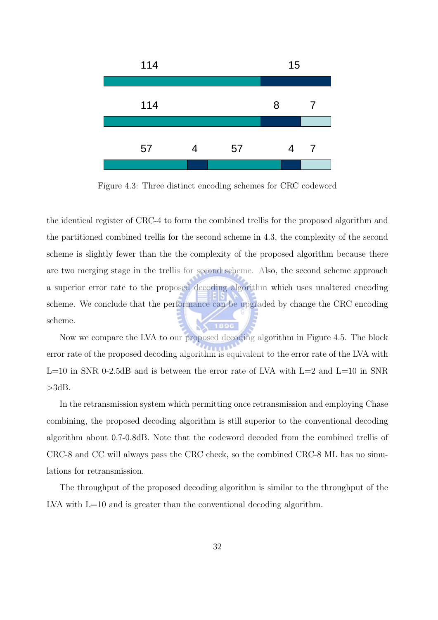

Figure 4.3: Three distinct encoding schemes for CRC codeword

the identical register of CRC-4 to form the combined trellis for the proposed algorithm and the partitioned combined trellis for the second scheme in 4.3, the complexity of the second scheme is slightly fewer than the the complexity of the proposed algorithm because there are two merging stage in the trellis for second scheme. Also, the second scheme approach a superior error rate to the proposed decoding algorithm which uses unaltered encoding scheme. We conclude that the performance can be upgraded by change the CRC encoding scheme.

Now we compare the LVA to our proposed decoding algorithm in Figure 4.5. The block error rate of the proposed decoding algorithm is equivalent to the error rate of the LVA with  $L=10$  in SNR 0-2.5dB and is between the error rate of LVA with  $L=2$  and  $L=10$  in SNR  $>3dB$ .

In the retransmission system which permitting once retransmission and employing Chase combining, the proposed decoding algorithm is still superior to the conventional decoding algorithm about 0.7-0.8dB. Note that the codeword decoded from the combined trellis of CRC-8 and CC will always pass the CRC check, so the combined CRC-8 ML has no simulations for retransmission.

The throughput of the proposed decoding algorithm is similar to the throughput of the LVA with  $L=10$  and is greater than the conventional decoding algorithm.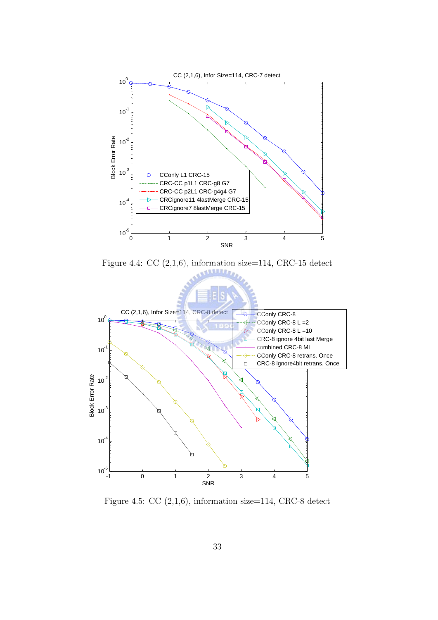

Figure 4.4: CC  $(2,1,6)$ , information size=114, CRC-15 detect



Figure 4.5: CC  $(2,1,6)$ , information size=114, CRC-8 detect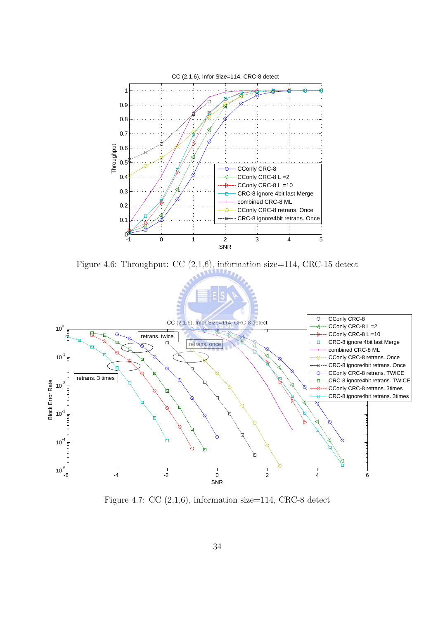

Figure 4.6: Throughput: CC (2,1,6), information size=114, CRC-15 detect



Figure 4.7: CC  $(2,1,6)$ , information size=114, CRC-8 detect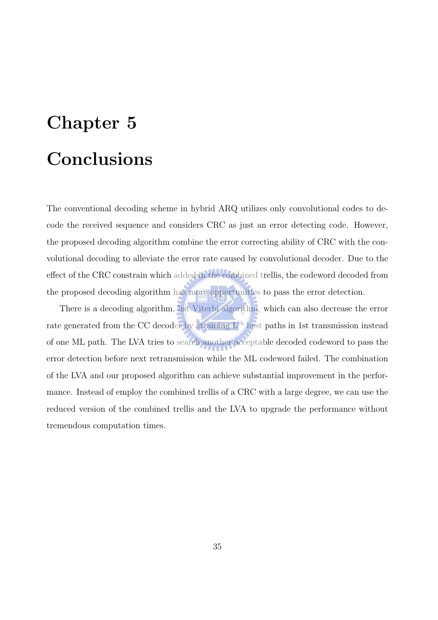## Chapter 5 Conclusions

The conventional decoding scheme in hybrid ARQ utilizes only convolutional codes to decode the received sequence and considers CRC as just an error detecting code. However, the proposed decoding algorithm combine the error correcting ability of CRC with the convolutional decoding to alleviate the error rate caused by convolutional decoder. Due to the effect of the CRC constrain which added in the combined trellis, the codeword decoded from the proposed decoding algorithm has more opportunities to pass the error detection.

There is a decoding algorithm, list Viterbi algorithm, which can also decrease the error rate generated from the CC decoder by attaining  $L<sup>th</sup>$  best paths in 1st transmission instead of one ML path. The LVA tries to search another acceptable decoded codeword to pass the error detection before next retransmission while the ML codeword failed. The combination of the LVA and our proposed algorithm can achieve substantial improvement in the performance. Instead of employ the combined trellis of a CRC with a large degree, we can use the reduced version of the combined trellis and the LVA to upgrade the performance without tremendous computation times.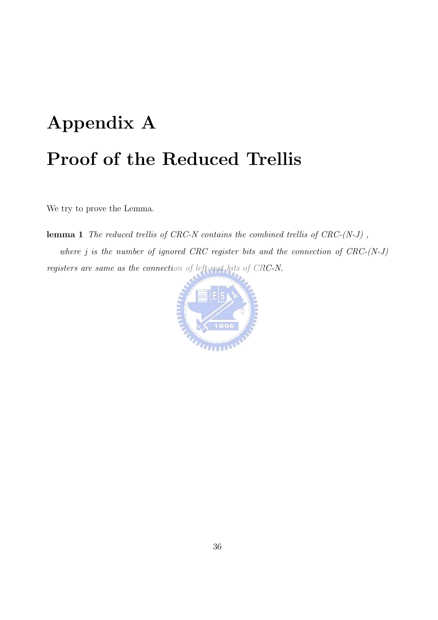## Appendix A Proof of the Reduced Trellis

We try to prove the Lemma.

**lemma 1** The reduced trellis of CRC-N contains the combined trellis of  $CRC-(N-J)$ , where  $j$  is the number of ignored CRC register bits and the connection of  $CRC-(N-J)$ registers are same as the connection of left-rest bits of CRC-N.

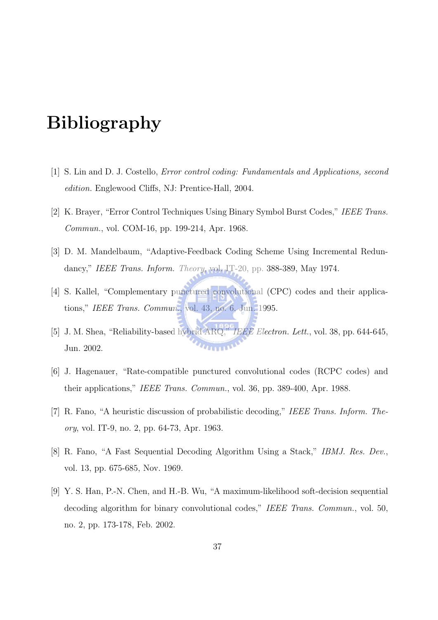### Bibliography

- [1] S. Lin and D. J. Costello, Error control coding: Fundamentals and Applications, second edition. Englewood Cliffs, NJ: Prentice-Hall, 2004.
- [2] K. Brayer, "Error Control Techniques Using Binary Symbol Burst Codes," IEEE Trans. Commun., vol. COM-16, pp. 199-214, Apr. 1968.
- [3] D. M. Mandelbaum, "Adaptive-Feedback Coding Scheme Using Incremental Redundancy," IEEE Trans. Inform. Theory, vol. IT-20, pp. 388-389, May 1974.
- [4] S. Kallel, "Complementary punctured convolutional (CPC) codes and their applications," IEEE Trans. Commun., vol. 43, no. 6, Jun. 1995.
- [5] J. M. Shea, "Reliability-based hybrid ARQ," IEEE Electron. Lett., vol. 38, pp. 644-645, **HUILDE** Jun. 2002.
- [6] J. Hagenauer, "Rate-compatible punctured convolutional codes (RCPC codes) and their applications," IEEE Trans. Commun., vol. 36, pp. 389-400, Apr. 1988.
- [7] R. Fano, "A heuristic discussion of probabilistic decoding," IEEE Trans. Inform. Theory, vol. IT-9, no. 2, pp. 64-73, Apr. 1963.
- [8] R. Fano, "A Fast Sequential Decoding Algorithm Using a Stack," IBMJ. Res. Dev., vol. 13, pp. 675-685, Nov. 1969.
- [9] Y. S. Han, P.-N. Chen, and H.-B. Wu, "A maximum-likelihood soft-decision sequential decoding algorithm for binary convolutional codes," IEEE Trans. Commun., vol. 50, no. 2, pp. 173-178, Feb. 2002.